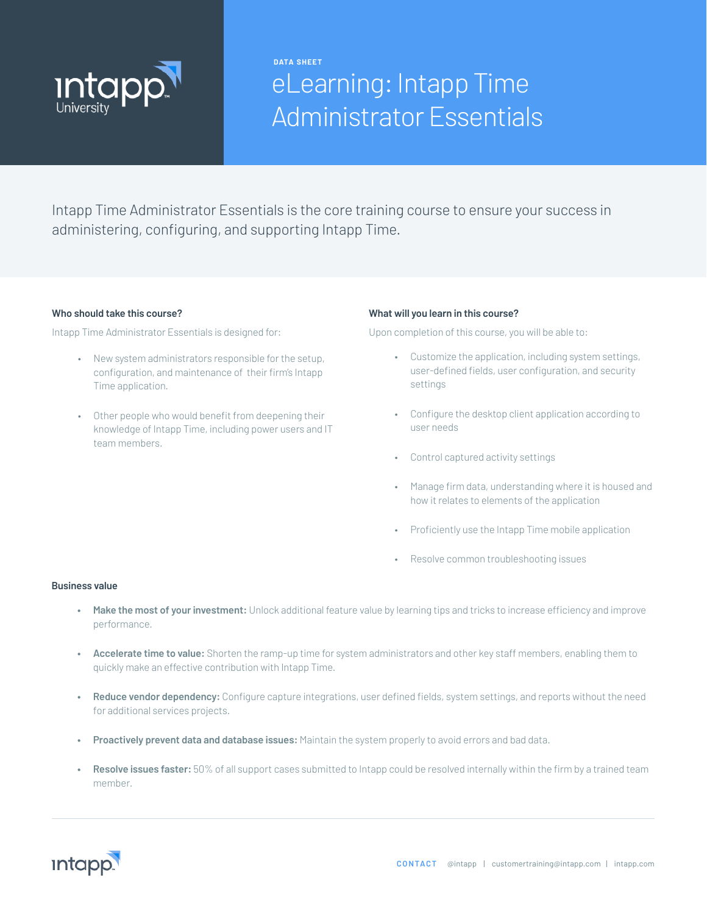

**DATA SHEET**

# eLearning: Intapp Time Administrator Essentials

Intapp Time Administrator Essentials is the core training course to ensure your success in administering, configuring, and supporting Intapp Time.

#### **Who should take this course?**

Intapp Time Administrator Essentials is designed for:

- New system administrators responsible for the setup, configuration, and maintenance of their firm's Intapp Time application.
- Other people who would benefit from deepening their knowledge of Intapp Time, including power users and IT team members.

#### **What will you learn in this course?**

Upon completion of this course, you will be able to:

- Customize the application, including system settings, user-defined fields, user configuration, and security settings
- Configure the desktop client application according to user needs
- Control captured activity settings
- Manage firm data, understanding where it is housed and how it relates to elements of the application
- Proficiently use the Intapp Time mobile application
- Resolve common troubleshooting issues

#### **Business value**

- **• Make the most of your investment:** Unlock additional feature value by learning tips and tricks to increase efficiency and improve performance.
- **• Accelerate time to value:** Shorten the ramp-up time for system administrators and other key staff members, enabling them to quickly make an effective contribution with Intapp Time.
- **• Reduce vendor dependency:** Configure capture integrations, user defined fields, system settings, and reports without the need for additional services projects.
- **• Proactively prevent data and database issues:** Maintain the system properly to avoid errors and bad data.
- **• Resolve issues faster:** 50% of all support cases submitted to Intapp could be resolved internally within the firm by a trained team member.